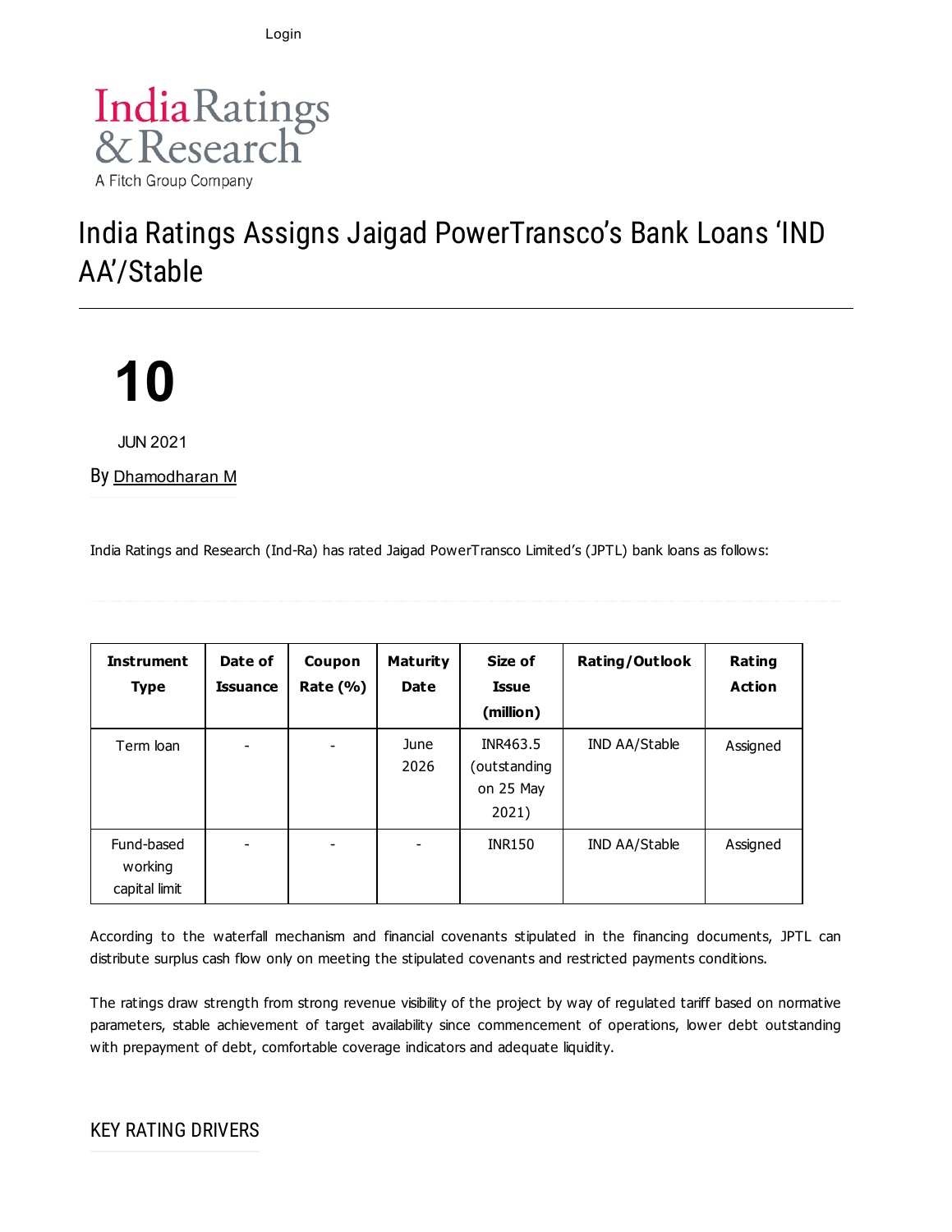Login



## India Ratings Assigns Jaigad PowerTransco's Bank Loans 'IND AA'/Stable

# **10**

JUN 2021

By [Dhamodharan](https://www.indiaratings.co.in/Analyst?analystID=357&analystName=Dhamodharan%20M) M

India Ratings and Research (Ind-Ra) has rated Jaigad PowerTransco Limited's (JPTL) bank loans as follows:

| <b>Instrument</b><br><b>Type</b>       | Date of<br><b>Issuance</b> | Coupon<br>Rate $(\% )$ | Maturity<br><b>Date</b> | Size of<br><b>Issue</b><br>(million)           | Rating/Outlook | Rating<br><b>Action</b> |
|----------------------------------------|----------------------------|------------------------|-------------------------|------------------------------------------------|----------------|-------------------------|
| Term loan                              | $\overline{\phantom{m}}$   |                        | June<br>2026            | INR463.5<br>outstanding)<br>on 25 May<br>2021) | IND AA/Stable  | Assigned                |
| Fund-based<br>working<br>capital limit | -                          | -                      | -                       | <b>INR150</b>                                  | IND AA/Stable  | Assigned                |

According to the waterfall mechanism and financial covenants stipulated in the financing documents, JPTL can distribute surplus cash flow only on meeting the stipulated covenants and restricted payments conditions.

The ratings draw strength from strong revenue visibility of the project by way of regulated tariff based on normative parameters, stable achievement of target availability since commencement of operations, lower debt outstanding with prepayment of debt, comfortable coverage indicators and adequate liquidity.

#### KEY RATING DRIVERS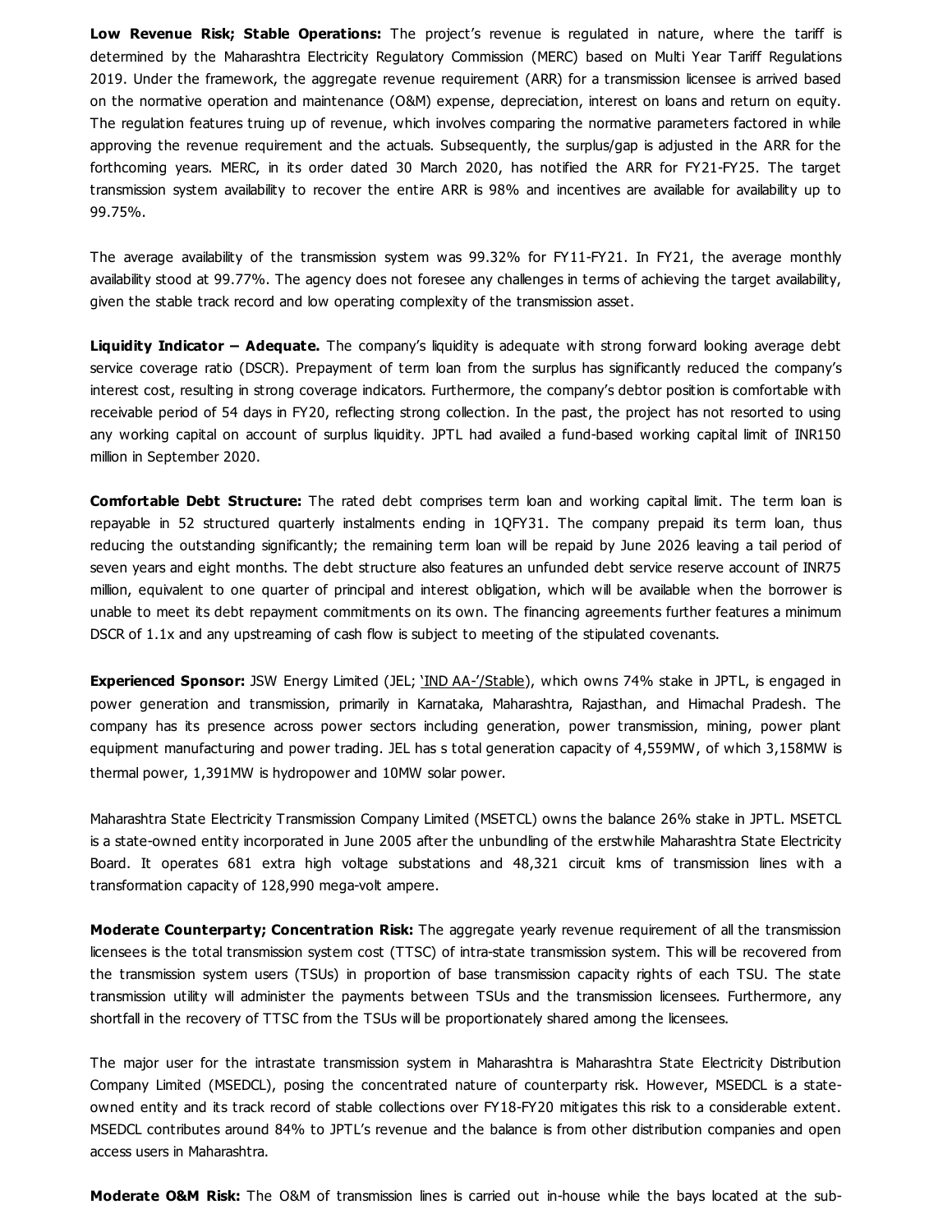**Low Revenue Risk; Stable Operations:** The project's revenue is regulated in nature, where the tariff is determined by the Maharashtra Electricity Regulatory Commission (MERC) based on Multi Year Tariff Regulations 2019. Under the framework, the aggregate revenue requirement (ARR) for a transmission licensee is arrived based on the normative operation and maintenance (O&M) expense, depreciation, interest on loans and return on equity. The regulation features truing up of revenue, which involves comparing the normative parameters factored in while approving the revenue requirement and the actuals. Subsequently, the surplus/gap is adjusted in the ARR for the forthcoming years. MERC, in its order dated 30 March 2020, has notified the ARR for FY21-FY25. The target transmission system availability to recover the entire ARR is 98% and incentives are available for availability up to 99.75%.

The average availability of the transmission system was 99.32% for FY11-FY21. In FY21, the average monthly availability stood at 99.77%. The agency does not foresee any challenges in terms of achieving the target availability, given the stable track record and low operating complexity of the transmission asset.

**Liquidity Indicator – Adequate.** The company's liquidity is adequate with strong forward looking average debt service coverage ratio (DSCR). Prepayment of term loan from the surplus has significantly reduced the company's interest cost, resulting in strong coverage indicators. Furthermore, the company's debtor position is comfortable with receivable period of 54 days in FY20, reflecting strong collection. In the past, the project has not resorted to using any working capital on account of surplus liquidity. JPTL had availed a fund-based working capital limit of INR150 million in September 2020.

**Comfortable Debt Structure:** The rated debt comprises term loan and working capital limit. The term loan is repayable in 52 structured quarterly instalments ending in 1OFY31. The company prepaid its term loan, thus reducing the outstanding significantly; the remaining term loan will be repaid by June 2026 leaving a tail period of seven years and eight months. The debt structure also features an unfunded debt service reserve account of INR75 million, equivalent to one quarter of principal and interest obligation, which will be available when the borrower is unable to meet its debt repayment commitments on its own. The financing agreements further features a minimum DSCR of 1.1x and any upstreaming of cash flow is subject to meeting of the stipulated covenants.

**Experienced Sponsor:** JSW Energy Limited (JEL; 'IND [AA-'/Stable](https://www.indiaratings.co.in/PressRelease?pressReleaseID=53794&title=India-Ratings-Assigns-JSW-Energy-and-its-NCDs-%E2%80%98IND-AA-%E2%80%99%2FStable)), which owns 74% stake in JPTL, is engaged in power generation and transmission, primarily in Karnataka, Maharashtra, Rajasthan, and Himachal Pradesh. The company has its presence across power sectors including generation, power transmission, mining, power plant equipment manufacturing and power trading. JEL has s total generation capacity of 4,559MW, of which 3,158MW is thermal power, 1,391MW is hydropower and 10MW solar power.

Maharashtra State Electricity Transmission Company Limited (MSETCL) owns the balance 26% stake in JPTL. MSETCL is a state-owned entity incorporated in June 2005 after the unbundling of the erstwhile Maharashtra State Electricity Board. It operates 681 extra high voltage substations and 48,321 circuit kms of transmission lines with a transformation capacity of 128,990 mega-volt ampere.

**Moderate Counterparty; Concentration Risk:** The aggregate yearly revenue requirement of all the transmission licensees is the total transmission system cost (TTSC) of intra-state transmission system. This will be recovered from the transmission system users (TSUs) in proportion of base transmission capacity rights of each TSU. The state transmission utility will administer the payments between TSUs and the transmission licensees. Furthermore, any shortfall in the recovery of TTSC from the TSUs will be proportionately shared among the licensees.

The major user for the intrastate transmission system in Maharashtra is Maharashtra State Electricity Distribution Company Limited (MSEDCL), posing the concentrated nature of counterparty risk. However, MSEDCL is a stateowned entity and its track record of stable collections over FY18-FY20 mitigates this risk to a considerable extent. MSEDCL contributes around 84% to JPTL's revenue and the balance is from other distribution companies and open access users in Maharashtra.

**Moderate O&M Risk:** The O&M of transmission lines is carried out in-house while the bays located at the sub-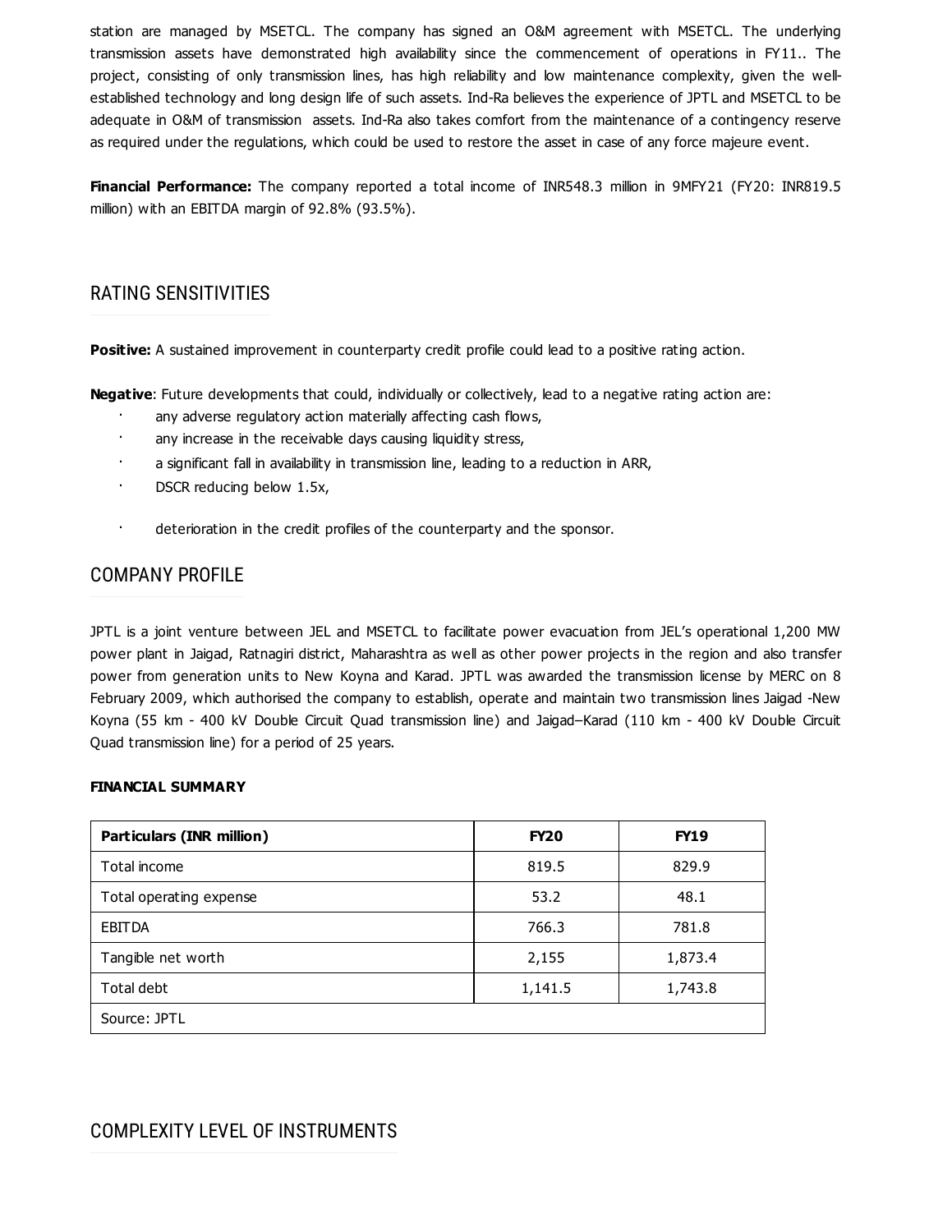station are managed by MSETCL. The company has signed an O&M agreement with MSETCL. The underlying transmission assets have demonstrated high availability since the commencement of operations in FY11.. The project, consisting of only transmission lines, has high reliability and low maintenance complexity, given the wellestablished technology and long design life of such assets. Ind-Ra believes the experience of JPTL and MSETCL to be adequate in O&M of transmission assets. Ind-Ra also takes comfort from the maintenance of a contingency reserve as required under the regulations, which could be used to restore the asset in case of any force majeure event.

**Financial Performance:** The company reported a total income of INR548.3 million in 9MFY21 (FY20: INR819.5 million) with an EBITDA margin of 92.8% (93.5%).

#### RATING SENSITIVITIES

**Positive:** A sustained improvement in counterparty credit profile could lead to a positive rating action.

**Negative**: Future developments that could, individually or collectively, lead to a negative rating action are:

- any adverse regulatory action materially affecting cash flows,
- any increase in the receivable days causing liquidity stress,
- a significant fall in availability in transmission line, leading to a reduction in ARR,
- DSCR reducing below 1.5x,
- · deterioration in the credit profiles of the counterparty and the sponsor.

#### COMPANY PROFILE

JPTL is a joint venture between JEL and MSETCL to facilitate power evacuation from JEL's operational 1,200 MW power plant in Jaigad, Ratnagiri district, Maharashtra as well as other power projects in the region and also transfer power from generation units to New Koyna and Karad. JPTL was awarded the transmission license by MERC on 8 February 2009, which authorised the company to establish, operate and maintain two transmission lines Jaigad -New Koyna (55 km - 400 kV Double Circuit Quad transmission line) and Jaigad–Karad (110 km - 400 kV Double Circuit Quad transmission line) for a period of 25 years.

#### **FINANCIAL SUMMARY**

| <b>Particulars (INR million)</b> | <b>FY20</b> | <b>FY19</b> |  |  |  |
|----------------------------------|-------------|-------------|--|--|--|
| Total income                     | 819.5       | 829.9       |  |  |  |
| Total operating expense          | 53.2        | 48.1        |  |  |  |
| <b>EBITDA</b>                    | 766.3       | 781.8       |  |  |  |
| Tangible net worth               | 2,155       | 1,873.4     |  |  |  |
| Total debt                       | 1,141.5     | 1,743.8     |  |  |  |
| Source: JPTL                     |             |             |  |  |  |

#### COMPLEXITY LEVEL OF INSTRUMENTS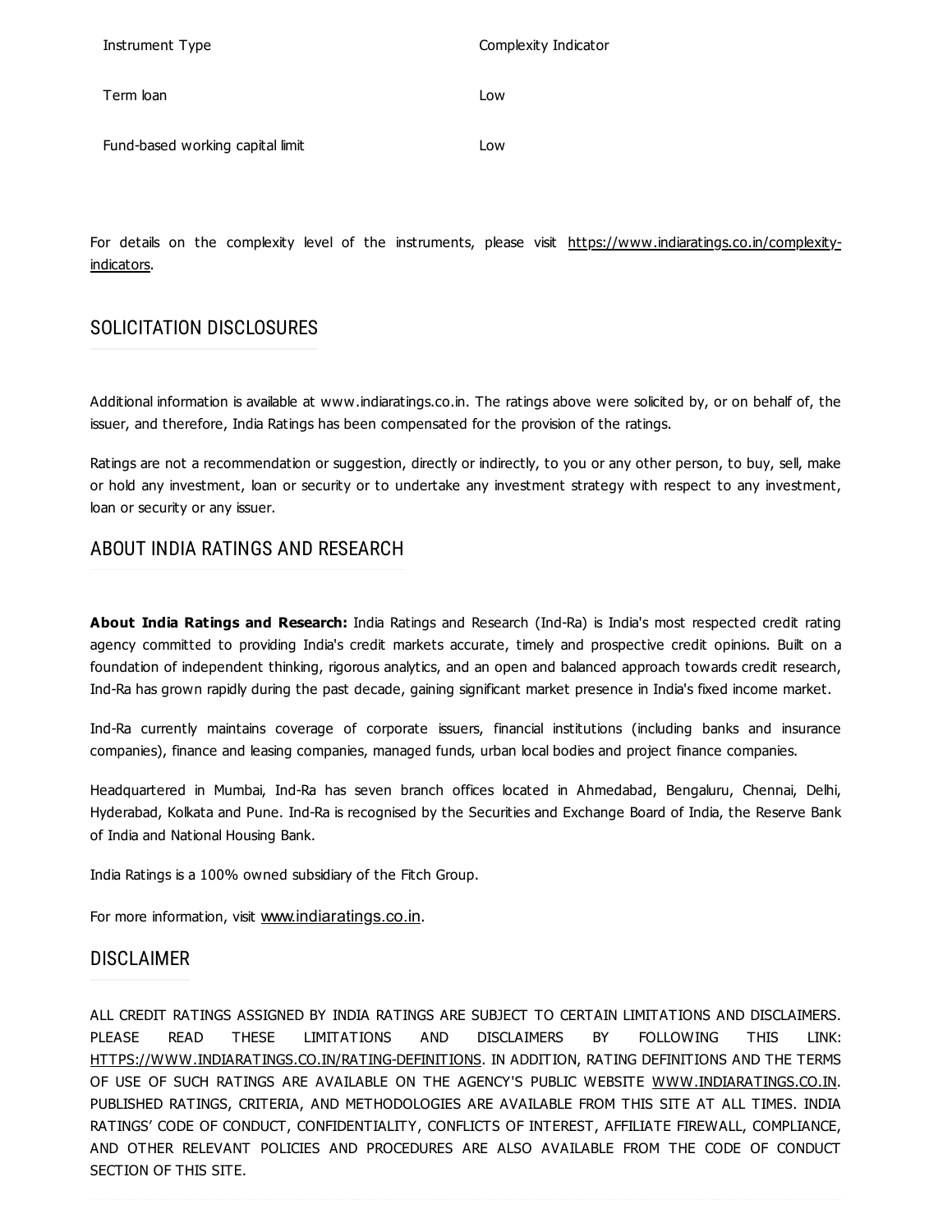| Instrument Type                  | Complexity Indicator |
|----------------------------------|----------------------|
| Term loan                        | Low                  |
| Fund-based working capital limit | Low                  |

For details on the complexity level of the instruments, please visit [https://www.indiaratings.co.in/complexity](https://www.indiaratings.co.in/complexity-indicators)indicators.

#### SOLICITATION DISCLOSURES

Additional information is available at www.indiaratings.co.in. The ratings above were solicited by, or on behalf of, the issuer, and therefore, India Ratings has been compensated for the provision of the ratings.

Ratings are not a recommendation or suggestion, directly or indirectly, to you or any other person, to buy, sell, make or hold any investment, loan or security or to undertake any investment strategy with respect to any investment, loan or security or any issuer.

#### ABOUT INDIA RATINGS AND RESEARCH

**About India Ratings and Research:** India Ratings and Research (Ind-Ra) is India's most respected credit rating agency committed to providing India's credit markets accurate, timely and prospective credit opinions. Built on a foundation of independent thinking, rigorous analytics, and an open and balanced approach towards credit research, Ind-Ra has grown rapidly during the past decade, gaining significant market presence in India's fixed income market.

Ind-Ra currently maintains coverage of corporate issuers, financial institutions (including banks and insurance companies), finance and leasing companies, managed funds, urban local bodies and project finance companies.

Headquartered in Mumbai, Ind-Ra has seven branch offices located in Ahmedabad, Bengaluru, Chennai, Delhi, Hyderabad, Kolkata and Pune. Ind-Ra is recognised by the Securities and Exchange Board of India, the Reserve Bank of India and National Housing Bank.

India Ratings is a 100% owned subsidiary of the Fitch Group.

For more information, visit [www.indiaratings.co.in](http://www.indiaratings.co.in/).

#### DISCLAIMER

ALL CREDIT RATINGS ASSIGNED BY INDIA RATINGS ARE SUBJECT TO CERTAIN LIMITATIONS AND DISCLAIMERS. PLEASE READ THESE LIMITATIONS AND DISCLAIMERS BY FOLLOWING THIS LINK: [HTTPS://WWW.INDIARATINGS.CO.IN/RATING-DEFINITIONS](https://www.indiaratings.co.in/rating-definitions). IN ADDITION, RATING DEFINITIONS AND THE TERMS OF USE OF SUCH RATINGS ARE AVAILABLE ON THE AGENCY'S PUBLIC WEBSITE [WWW.INDIARATINGS.CO.IN](http://www.indiaratings.co.in/). PUBLISHED RATINGS, CRITERIA, AND METHODOLOGIES ARE AVAILABLE FROM THIS SITE AT ALL TIMES. INDIA RATINGS' CODE OF CONDUCT, CONFIDENTIALITY, CONFLICTS OF INTEREST, AFFILIATE FIREWALL, COMPLIANCE, AND OTHER RELEVANT POLICIES AND PROCEDURES ARE ALSO AVAILABLE FROM THE CODE OF CONDUCT SECTION OF THIS SITE.